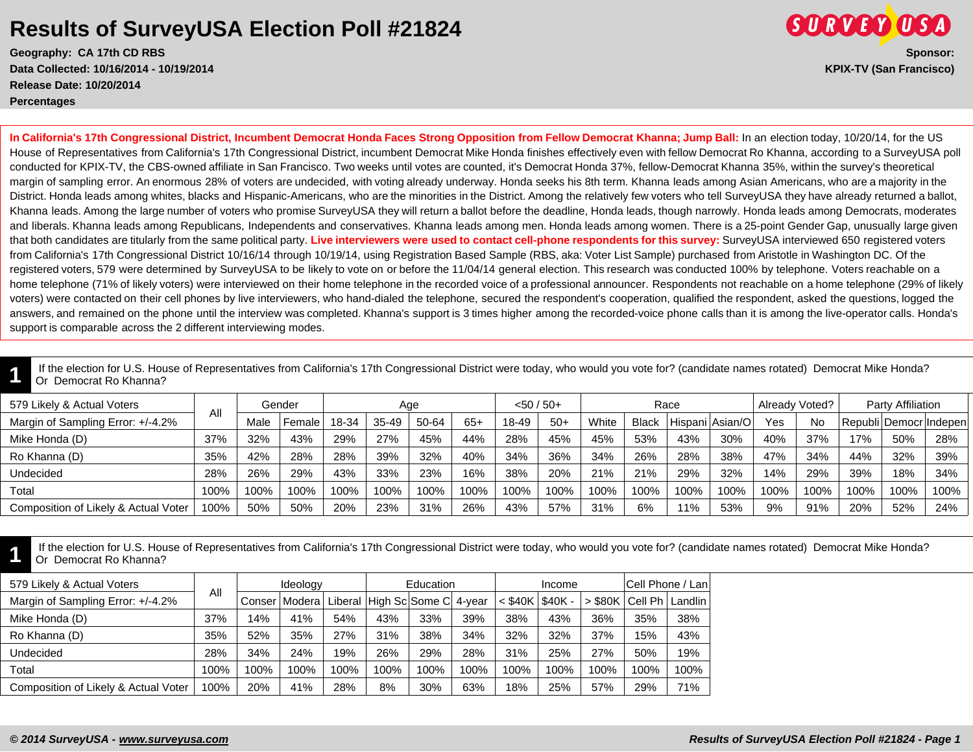## **Results of SurveyUSA Election Poll #21824**

**Geography: CA 17th CD RBS Sponsor: Data Collected: 10/16/2014 - 10/19/2014 KPIX-TV (San Francisco) Release Date: 10/20/2014 Percentages**



**In California's 17th Congressional District, Incumbent Democrat Honda Faces Strong Opposition from Fellow Democrat Khanna; Jump Ball:** In an election today, 10/20/14, for the US House of Representatives from California's 17th Congressional District, incumbent Democrat Mike Honda finishes effectively even with fellow Democrat Ro Khanna, according to a SurveyUSA poll conducted for KPIX-TV, the CBS-owned affiliate in San Francisco. Two weeks until votes are counted, it's Democrat Honda 37%, fellow-Democrat Khanna 35%, within the survey's theoretical margin of sampling error. An enormous 28% of voters are undecided, with voting already underway. Honda seeks his 8th term. Khanna leads among Asian Americans, who are a majority in the District. Honda leads among whites, blacks and Hispanic-Americans, who are the minorities in the District. Among the relatively few voters who tell SurveyUSA they have already returned a ballot, Khanna leads. Among the large number of voters who promise SurveyUSA they will return a ballot before the deadline, Honda leads, though narrowly. Honda leads among Democrats, moderates and liberals. Khanna leads among Republicans, Independents and conservatives. Khanna leads among men. Honda leads among women. There is a 25-point Gender Gap, unusually large given that both candidates are titularly from the same political party. **Live interviewers were used to contact cell-phone respondents for this survey:** SurveyUSA interviewed 650 registered voters from California's 17th Congressional District 10/16/14 through 10/19/14, using Registration Based Sample (RBS, aka: Voter List Sample) purchased from Aristotle in Washington DC. Of the registered voters, 579 were determined by SurveyUSA to be likely to vote on or before the 11/04/14 general election. This research was conducted 100% by telephone. Voters reachable on a home telephone (71% of likely voters) were interviewed on their home telephone in the recorded voice of a professional announcer. Respondents not reachable on a home telephone (29% of likely voters) were contacted on their cell phones by live interviewers, who hand-dialed the telephone, secured the respondent's cooperation, qualified the respondent, asked the questions, logged the answers, and remained on the phone until the interview was completed. Khanna's support is 3 times higher among the recorded-voice phone calls than it is among the live-operator calls. Honda's support is comparable across the 2 different interviewing modes.

**1** If the election for U.S. House of Representatives from California's 17th Congressional District were today, who would you vote for? (candidate names rotated) Democrat Mike Honda? Or Democrat Ro Khanna?

| 579 Likely & Actual Voters           | All  | Gender |        | Aae   |       |       |       | $< 50 / 50+$ |       | Race  |       |      |                  | Already Voted? |           | Party Affiliation |      |                            |
|--------------------------------------|------|--------|--------|-------|-------|-------|-------|--------------|-------|-------|-------|------|------------------|----------------|-----------|-------------------|------|----------------------------|
| Margin of Sampling Error: +/-4.2%    |      | Male   | Female | 18-34 | 35-49 | 50-64 | $65+$ | 18-49        | $50+$ | White | Black |      | Hispani Asian/Ol | Yes            | <b>No</b> |                   |      | Republi   Democr   Indepen |
| Mike Honda (D)                       | 37%  | 32%    | 43%    | 29%   | 27%   | 45%   | 44%   | 28%          | 45%   | 45%   | 53%   | 43%  | 30%              | 40%            | 37%       | 17%               | 50%  | 28%                        |
| Ro Khanna (D)                        | 35%  | 42%    | 28%    | 28%   | 39%   | 32%   | 40%   | 34%          | 36%   | 34%   | 26%   | 28%  | 38%              | 47%            | 34%       | 44%               | 32%  | 39%                        |
| Undecided                            | 28%  | 26%    | 29%    | 43%   | 33%   | 23%   | 16%   | 38%          | 20%   | 21%   | 21%   | 29%  | 32%              | 14%            | 29%       | 39%               | 18%  | 34%                        |
| Total                                | 100% | 100%   | 100%   | 100%  | 100%  | 100%  | 100%  | 100%         | 100%  | 100%  | 100%  | 100% | 100%             | 100%           | 100%      | 100%              | 100% | 100%                       |
| Composition of Likely & Actual Voter | 100% | 50%    | 50%    | 20%   | 23%   | 31%   | 26%   | 43%          | 57%   | 31%   | 6%    | 11%  | 53%              | 9%             | 91%       | 20%               | 52%  | 24%                        |

**1** If the election for U.S. House of Representatives from California's 17th Congressional District were today, who would you vote for? (candidate names rotated) Democrat Mike Honda? Or Democrat Ro Khanna?

| 579 Likely & Actual Voters           |      | Ideology |                 |      |      | Education                     |      |           | Income   | Cell Phone / Lan |                             |      |
|--------------------------------------|------|----------|-----------------|------|------|-------------------------------|------|-----------|----------|------------------|-----------------------------|------|
| Margin of Sampling Error: +/-4.2%    | All  |          | Conser   Modera |      |      | Liberal High Sc Some C 4-year |      | $<$ \$40K | $$40K -$ |                  | > \$80K   Cell Ph   Landlin |      |
| Mike Honda (D)                       | 37%  | 14%      | 41%             | 54%  | 43%  | 33%                           | 39%  | 38%       | 43%      | 36%              | 35%                         | 38%  |
| Ro Khanna (D)                        | 35%  | 52%      | 35%             | 27%  | 31%  | 38%                           | 34%  | 32%       | 32%      | 37%              | 15%                         | 43%  |
| Undecided                            | 28%  | 34%      | 24%             | 19%  | 26%  | 29%                           | 28%  | 31%       | 25%      | 27%              | 50%                         | 19%  |
| Total                                | 100% | 100%     | 100%            | 100% | 100% | 100%                          | 100% | 100%      | 100%     | 100%             | 100%                        | 100% |
| Composition of Likely & Actual Voter | 100% | 20%      | 41%             | 28%  | 8%   | 30%                           | 63%  | 18%       | 25%      | 57%              | 29%                         | 71%  |